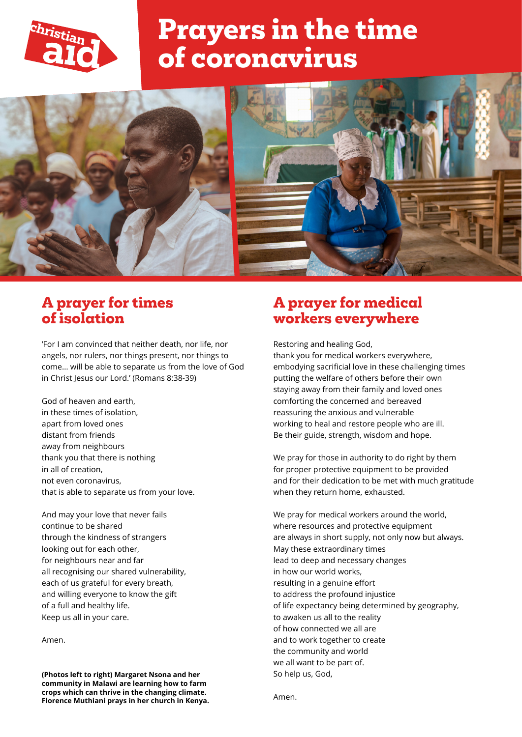

# **Prayers in the time of coronavirus**



#### **A prayer for times of isolation**

'For I am convinced that neither death, nor life, nor angels, nor rulers, nor things present, nor things to come… will be able to separate us from the love of God in Christ Jesus our Lord.' (Romans 8:38-39)

God of heaven and earth, in these times of isolation, apart from loved ones distant from friends away from neighbours thank you that there is nothing in all of creation, not even coronavirus, that is able to separate us from your love.

And may your love that never fails continue to be shared through the kindness of strangers looking out for each other, for neighbours near and far all recognising our shared vulnerability, each of us grateful for every breath, and willing everyone to know the gift of a full and healthy life. Keep us all in your care.

#### Amen.

**(Photos left to right) Margaret Nsona and her community in Malawi are learning how to farm crops which can thrive in the changing climate. Florence Muthiani prays in her church in Kenya.**

#### **A prayer for medical workers everywhere**

Restoring and healing God, thank you for medical workers everywhere, embodying sacrificial love in these challenging times putting the welfare of others before their own staying away from their family and loved ones comforting the concerned and bereaved reassuring the anxious and vulnerable working to heal and restore people who are ill. Be their guide, strength, wisdom and hope.

We pray for those in authority to do right by them for proper protective equipment to be provided and for their dedication to be met with much gratitude when they return home, exhausted.

We pray for medical workers around the world, where resources and protective equipment are always in short supply, not only now but always. May these extraordinary times lead to deep and necessary changes in how our world works, resulting in a genuine effort to address the profound injustice of life expectancy being determined by geography, to awaken us all to the reality of how connected we all are and to work together to create the community and world we all want to be part of. So help us, God,

Amen.